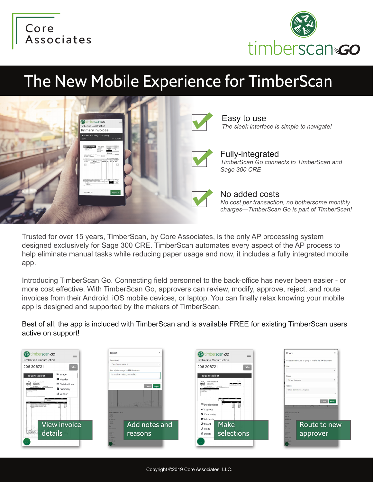



## The New Mobile Experience for TimberScan



Trusted for over 15 years, TimberScan, by Core Associates, is the only AP processing system designed exclusively for Sage 300 CRE. TimberScan automates every aspect of the AP process to help eliminate manual tasks while reducing paper usage and now, it includes a fully integrated mobile app.

Introducing TimberScan Go. Connecting field personnel to the back-office has never been easier - or more cost effective. With TimberScan Go, approvers can review, modify, approve, reject, and route invoices from their Android, iOS mobile devices, or laptop. You can finally relax knowing your mobile app is designed and supported by the makers of TimberScan.

Best of all, the app is included with TimberScan and is available FREE for existing TimberScan users active on support!

| <b>EX</b> timberscan GO<br><b>Timberline Construction</b>                                                                                                                                                                                                                                                               | $=$<br>$\overline{\phantom{a}}$                                                                                                     | Reject<br>$\times$<br>Select level<br>Data Entry (Level - 1)                                                                                                          | <b>A</b> timberscan GO<br>$\qquad \qquad$<br>$=$<br>$\overline{\phantom{a}}$<br><b>Timberline Construction</b>                                                                                                                                                                                                                                                                                                                                                | Route<br>Please select the user or group to receive the 206 document                                                                                                                                          |
|-------------------------------------------------------------------------------------------------------------------------------------------------------------------------------------------------------------------------------------------------------------------------------------------------------------------------|-------------------------------------------------------------------------------------------------------------------------------------|-----------------------------------------------------------------------------------------------------------------------------------------------------------------------|---------------------------------------------------------------------------------------------------------------------------------------------------------------------------------------------------------------------------------------------------------------------------------------------------------------------------------------------------------------------------------------------------------------------------------------------------------------|---------------------------------------------------------------------------------------------------------------------------------------------------------------------------------------------------------------|
| 206 206721                                                                                                                                                                                                                                                                                                              | $\square$ .                                                                                                                         | Add reject message for 206 document:                                                                                                                                  | 206 206721<br>$E -$                                                                                                                                                                                                                                                                                                                                                                                                                                           | User                                                                                                                                                                                                          |
| toggle toolbar<br>Supply Connection N'<br><b>Information</b><br><b>DEPARE REFERE</b><br><b>GRAND</b><br><b>CHAIN</b><br>ensterlinger while successives to<br><b>CHI ENTRY</b><br>ADOBE AT DI ROGAL SERA GLOSS WARTS 1-SALLON<br>Chicago of book dollar with Finals - Chicago<br><b>NATIONAL ATTINE RINA AUF - GALON</b> | la Image<br><b>O</b> Header<br><b>ED</b> Distributions<br><b>B</b> Summary<br><b>III</b> Vendor<br>$\sim$<br>W<br>칇<br>View invoice | Incomplete - edging not verified.<br>Cancel Reject<br>10 util Seaveston, City of<br>06722<br>018-05-08<br><b>Point</b><br>Add notes and<br>200.00<br><b>Committee</b> | toggle toolbar<br>mate<br><b>Supply Connection NY</b><br><b>Information</b><br><b>SOUTHERN STATES</b><br><b>DEPARE REFERE</b><br>stolen and<br>49-238-2481<br><b>CHECK</b><br>LEASTER/International while means buyers form.<br><b>Distance Buyeau Door</b><br>  47-43 2024 Page<br>  Buyeau dir 11/64<br><b>ED</b> Distributions<br>謡<br>盟<br>$\blacktriangledown$ Approve<br>View notes<br>Add note<br><b>Make</b><br><b>Ø</b> Reject<br>$\mathbb{Z}$ Route | Group<br>full apr (Approve)<br>Reason<br>Onsite confirmation required<br>Cancel Route<br>$\sim$<br><b>STEP</b><br>2008 Beaverton: City of<br>05722<br>18-05-08<br>Route to new<br>co.com<br><b>STATISTICS</b> |
| Hopton<br>details                                                                                                                                                                                                                                                                                                       |                                                                                                                                     | reasons<br>$5712 -$<br><b>Date</b><br>2018-05-18                                                                                                                      | selections<br><b>自</b> Delete                                                                                                                                                                                                                                                                                                                                                                                                                                 | approver<br>$1712 -$<br><b>Caracter</b><br>018-05-18                                                                                                                                                          |
| $\cdots$                                                                                                                                                                                                                                                                                                                |                                                                                                                                     | <b>COFF</b><br>33-05-08                                                                                                                                               |                                                                                                                                                                                                                                                                                                                                                                                                                                                               | 18-05-08                                                                                                                                                                                                      |